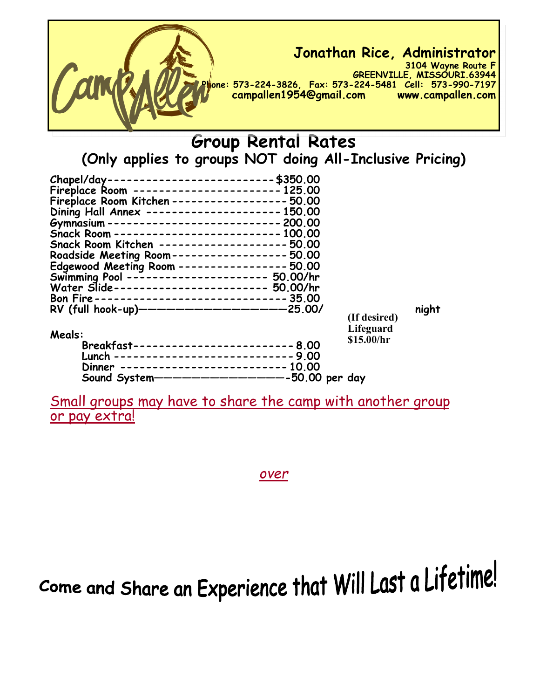

## **Group Rental Rates (Only applies to groups NOT doing All-Inclusive Pricing)**

| Chapel/day-------------------------- \$350.00                                                |              |       |
|----------------------------------------------------------------------------------------------|--------------|-------|
| Fireplace Room ----------------------- 125.00                                                |              |       |
| Fireplace Room Kitchen ------------------ 50.00                                              |              |       |
| Dining Hall Annex --------------------- 150.00                                               |              |       |
| Gymnasium --------------------------- 200.00                                                 |              |       |
| Snack Room -------------------------- 100.00                                                 |              |       |
| Snack Room Kitchen -------------------- 50.00                                                |              |       |
| Roadside Meeting Room----------------- 50.00                                                 |              |       |
|                                                                                              |              |       |
| Edgewood Meeting Room ---------------- 50.00<br>Swimming Pool --------------------- 50.00/hr |              |       |
| Water Slide----------------------- 50.00/hr                                                  |              |       |
| Bon Fire------------------------------ 35.00                                                 |              |       |
| RV (full hook-up)---------------------25.00/                                                 |              | night |
|                                                                                              | (If desired) |       |
|                                                                                              | Lifeguard    |       |
| Meals:                                                                                       | \$15.00/hr   |       |
| Breakfast-------------------------- 8.00                                                     |              |       |
| Lunch ----------------------------9.00                                                       |              |       |
| Dinner -------------------------- 10.00                                                      |              |       |
| Sound System-----------------50.00 per day                                                   |              |       |

Small groups may have to share the camp with another group or pay extra!

*over*

Come and Share an Experience that Will Last a Lifetime!